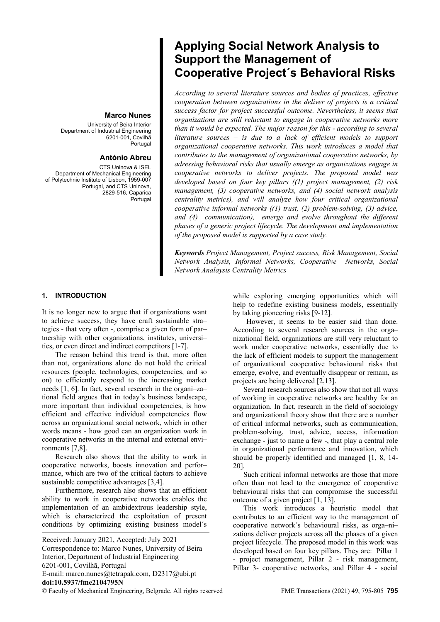## **Marco Nunes**

University of Beira Interior Department of Industrial Engineering 6201-001, Covilhã Portugal

# **António Abreu**

CTS Uninova & ISEL Department of Mechanical Engineering of Polytechnic Institute of Lisbon, 1959-007 Portugal, and CTS Uninova, 2829-516, Caparica Portugal

# **Applying Social Network Analysis to Support the Management of Cooperative Project´s Behavioral Risks**

*According to several literature sources and bodies of practices, effective cooperation between organizations in the deliver of projects is a critical success factor for project successful outcome. Nevertheless, it seems that organizations are still reluctant to engage in cooperative networks more than it would be expected. The major reason for this - according to several literature sources – is due to a lack of efficient models to support organizational cooperative networks. This work introduces a model that contributes to the management of organizational cooperative networks, by adressing behavioral risks that usually emerge as organizations engage in cooperative networks to deliver projects. The proposed model was developed based on four key pillars ((1) project management, (2) risk management, (3) cooperative networks, and (4) social network analysis centrality metrics), and will analyze how four critical organizational cooperative informal networks ((1) trust, (2) problem-solving, (3) advice, and (4) communication), emerge and evolve throughout the different phases of a generic project lifecycle. The development and implementation of the proposed model is supported by a case study.* 

*Keywords Project Management, Project success, Risk Management, Social Network Analysis, Informal Networks, Cooperative Networks, Social Network Analaysis Centrality Metrics* 

## **1. INTRODUCTION**

It is no longer new to argue that if organizations want to achieve success, they have craft sustainable stra– tegies - that very often -, comprise a given form of par– tnership with other organizations, institutes, universi– ties, or even direct and indirect competitors [1-7].

The reason behind this trend is that, more often than not, organizations alone do not hold the critical resources (people, technologies, competencies, and so on) to efficiently respond to the increasing market needs [1, 6]. In fact, several research in the organi–za– tional field argues that in today's business landscape, more important than individual competencies, is how efficient and effective individual competencies flow across an organizational social network, which in other words means - how good can an organization work in cooperative networks in the internal and external envi– ronments [7,8].

Research also shows that the ability to work in cooperative networks, boosts innovation and perfor– mance, which are two of the critical factors to achieve sustainable competitive advantages [3,4].

Furthermore, research also shows that an efficient ability to work in cooperative networks enables the implementation of an ambidextrous leadership style, which is characterized the exploitation of present conditions by optimizing existing business model´s

© Faculty of Mechanical Engineering, Belgrade. All rights reserved FME Transactions (2021) 49, 795-805 **795** Received: January 2021, Accepted: July 2021 Correspondence to: Marco Nunes, University of Beira Interior, Department of Industrial Engineering 6201-001, Covilhã, Portugal E-mail: marco.nunes@tetrapak.com, D2317@ubi.pt **doi:10.5937/fme2104795N** 

while exploring emerging opportunities which will help to redefine existing business models, essentially by taking pioneering risks [9-12].

However, it seems to be easier said than done. According to several research sources in the orga– nizational field, organizations are still very reluctant to work under cooperative networks, essentially due to the lack of efficient models to support the management of organizational cooperative behavioural risks that emerge, evolve, and eventually disappear or remain, as projects are being delivered [2,13].

Several research sources also show that not all ways of working in cooperative networks are healthy for an organization. In fact, research in the field of sociology and organizational theory show that there are a number of critical informal networks, such as communication, problem-solving, trust, advice, access, information exchange - just to name a few -, that play a central role in organizational performance and innovation, which should be properly identified and managed [1, 8, 14- 20].

Such critical informal networks are those that more often than not lead to the emergence of cooperative behavioural risks that can compromise the successful outcome of a given project [1, 13].

This work introduces a heuristic model that contributes to an efficient way to the management of cooperative network´s behavioural risks, as orga–ni– zations deliver projects across all the phases of a given project lifecycle. The proposed model in this work was developed based on four key pillars. They are: Pillar 1 - project management, Pillar 2 - risk management, Pillar 3- cooperative networks, and Pillar 4 - social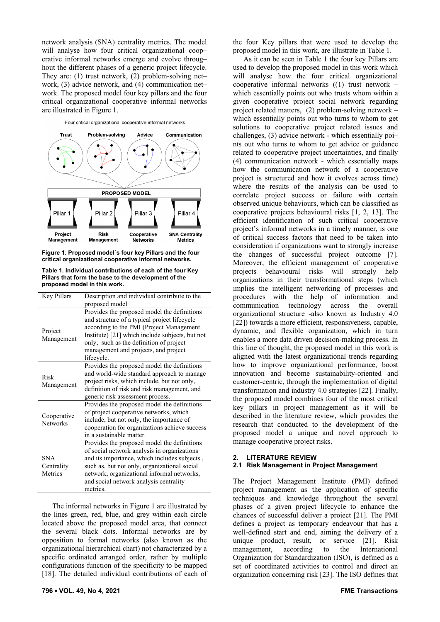network analysis (SNA) centrality metrics. The model will analyse how four critical organizational coop– erative informal networks emerge and evolve throug– hout the different phases of a generic project lifecycle. They are: (1) trust network, (2) problem-solving net– work, (3) advice network, and (4) communication net– work. The proposed model four key pillars and the four critical organizational cooperative informal networks are illustrated in Figure 1.

Four critical organizational cooperative informal networks



**Figure 1. Proposed model´s four key Pillars and the four critical organizational cooperative informal networks.** 

**Table 1. Individual contributions of each of the four Key Pillars that form the base to the development of the proposed model in this work.** 

| Key Pillars                         | Description and individual contribute to the                                                                                                                                                                                                                                                   |  |
|-------------------------------------|------------------------------------------------------------------------------------------------------------------------------------------------------------------------------------------------------------------------------------------------------------------------------------------------|--|
|                                     | proposed model                                                                                                                                                                                                                                                                                 |  |
| Project<br>Management               | Provides the proposed model the definitions<br>and structure of a typical project lifecycle<br>according to the PMI (Project Management<br>Institute) [21] which include subjects, but not<br>only, such as the definition of project<br>management and projects, and project<br>lifecycle.    |  |
| Risk<br>Management                  | Provides the proposed model the definitions<br>and world-wide standard approach to manage<br>project risks, which include, but not only,<br>definition of risk and risk management, and<br>generic risk assessment process.                                                                    |  |
| Cooperative<br><b>Networks</b>      | Provides the proposed model the definitions<br>of project cooperative networks, which<br>include, but not only, the importance of<br>cooperation for organizations achieve success<br>in a sustainable matter.                                                                                 |  |
| <b>SNA</b><br>Centrality<br>Metrics | Provides the proposed model the definitions<br>of social network analysis in organizations<br>and its importance, which includes subjects,<br>such as, but not only, organizational social<br>network, organizational informal networks,<br>and social network analysis centrality<br>metrics. |  |

The informal networks in Figure 1 are illustrated by the lines green, red, blue, and grey within each circle located above the proposed model area, that connect the several black dots. Informal networks are by opposition to formal networks (also known as the organizational hierarchical chart) not characterized by a specific ordinated arranged order, rather by multiple configurations function of the specificity to be mapped [18]. The detailed individual contributions of each of

**796 ▪ VOL. 49, No 4, 2021 FME Transactions**

the four Key pillars that were used to develop the proposed model in this work, are illustrate in Table 1.

As it can be seen in Table 1 the four key Pillars are used to develop the proposed model in this work which will analyse how the four critical organizational cooperative informal networks ((1) trust network – which essentially points out who trusts whom within a given cooperative project social network regarding project related matters, (2) problem-solving network – which essentially points out who turns to whom to get solutions to cooperative project related issues and challenges, (3) advice network - which essentially poi– nts out who turns to whom to get advice or guidance related to cooperative project uncertainties, and finally (4) communication network - which essentially maps how the communication network of a cooperative project is structured and how it evolves across time) where the results of the analysis can be used to correlate project success or failure with certain observed unique behaviours, which can be classified as cooperative projects behavioural risks [1, 2, 13]. The efficient identification of such critical cooperative project's informal networks in a timely manner, is one of critical success factors that need to be taken into consideration if organizations want to strongly increase the changes of successful project outcome [7]. Moreover, the efficient management of cooperative projects behavioural risks will strongly help organizations in their transformational steps (which implies the intelligent networking of processes and procedures with the help of information and communication technology across the overall organizational structure -also known as Industry 4.0 [22]) towards a more efficient, responsiveness, capable, dynamic, and flexible organization, which in turn enables a more data driven decision-making process. In this line of thought, the proposed model in this work is aligned with the latest organizational trends regarding how to improve organizational performance, boost innovation and become sustainability-oriented and customer-centric, through the implementation of digital transformation and industry 4.0 strategies [22]. Finally, the proposed model combines four of the most critical key pillars in project management as it will be described in the literature review, which provides the research that conducted to the development of the proposed model a unique and novel approach to manage cooperative project risks.

## **2. LITERATURE REVIEW 2.1 Risk Management in Project Management**

The Project Management Institute (PMI) defined project management as the application of specific techniques and knowledge throughout the several phases of a given project lifecycle to enhance the chances of successful deliver a project [21]. The PMI defines a project as temporary endeavour that has a well-defined start and end, aiming the delivery of a unique product, result, or service [21]. Risk management, according to the International Organization for Standardization (ISO), is defined as a set of coordinated activities to control and direct an organization concerning risk [23]. The ISO defines that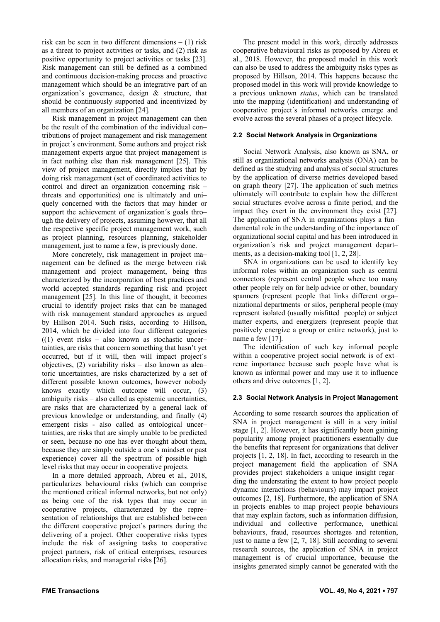risk can be seen in two different dimensions – (1) risk as a threat to project activities or tasks, and (2) risk as positive opportunity to project activities or tasks [23]. Risk management can still be defined as a combined and continuous decision-making process and proactive management which should be an integrative part of an organization's governance, design & structure, that should be continuously supported and incentivized by all members of an organization [24].

Risk management in project management can then be the result of the combination of the individual con– tributions of project management and risk management in project´s environment. Some authors and project risk management experts argue that project management is in fact nothing else than risk management [25]. This view of project management, directly implies that by doing risk management (set of coordinated activities to control and direct an organization concerning risk – threats and opportunities) one is ultimately and uni– quely concerned with the factors that may hinder or support the achievement of organization´s goals thro– ugh the delivery of projects, assuming however, that all the respective specific project management work, such as project planning, resources planning, stakeholder management, just to name a few, is previously done.

More concretely, risk management in project ma– nagement can be defined as the merge between risk management and project management, being thus characterized by the incorporation of best practices and world accepted standards regarding risk and project management [25]. In this line of thought, it becomes crucial to identify project risks that can be managed with risk management standard approaches as argued by Hillson 2014. Such risks, according to Hillson, 2014, which be divided into four different categories  $((1)$  event risks – also known as stochastic uncer– tainties, are risks that concern something that hasn't yet occurred, but if it will, then will impact project´s objectives, (2) variability risks – also known as alea– toric uncertainties, are risks characterized by a set of different possible known outcomes, however nobody knows exactly which outcome will occur, (3) ambiguity risks – also called as epistemic uncertainties, are risks that are characterized by a general lack of previous knowledge or understanding, and finally (4) emergent risks - also called as ontological uncer– tainties, are risks that are simply unable to be predicted or seen, because no one has ever thought about them, because they are simply outside a one´s mindset or past experience) cover all the spectrum of possible high level risks that may occur in cooperative projects.

In a more detailed approach, Abreu et al., 2018, particularizes behavioural risks (which can comprise the mentioned critical informal networks, but not only) as being one of the risk types that may occur in cooperative projects, characterized by the repre– sentation of relationships that are established between the different cooperative project´s partners during the delivering of a project. Other cooperative risks types include the risk of assigning tasks to cooperative project partners, risk of critical enterprises, resources allocation risks, and managerial risks [26].

The present model in this work, directly addresses cooperative behavioural risks as proposed by Abreu et al., 2018. However, the proposed model in this work can also be used to address the ambiguity risks types as proposed by Hillson, 2014. This happens because the proposed model in this work will provide knowledge to a previous unknown *status*, which can be translated into the mapping (identification) and understanding of cooperative project´s informal networks emerge and evolve across the several phases of a project lifecycle.

## **2.2 Social Network Analysis in Organizations**

Social Network Analysis, also known as SNA, or still as organizational networks analysis (ONA) can be defined as the studying and analysis of social structures by the application of diverse metrics developed based on graph theory [27]. The application of such metrics ultimately will contribute to explain how the different social structures evolve across a finite period, and the impact they exert in the environment they exist [27]. The application of SNA in organizations plays a fun– damental role in the understanding of the importance of organizational social capital and has been introduced in organization´s risk and project management depart– ments, as a decision-making tool [1, 2, 28].

SNA in organizations can be used to identify key informal roles within an organization such as central connectors (represent central people where too many other people rely on for help advice or other, boundary spanners (represent people that links different orga– nizational departments or silos, peripheral people (may represent isolated (usually misfitted people) or subject matter experts, and energizers (represent people that positively energize a group or entire network), just to name a few [17].

The identification of such key informal people within a cooperative project social network is of ext– reme importance because such people have what is known as informal power and may use it to influence others and drive outcomes [1, 2].

## **2.3 Social Network Analysis in Project Management**

According to some research sources the application of SNA in project management is still in a very initial stage [1, 2]. However, it has significantly been gaining popularity among project practitioners essentially due the benefits that represent for organizations that deliver projects [1, 2, 18]. In fact, according to research in the project management field the application of SNA provides project stakeholders a unique insight regar– ding the understating the extent to how project people dynamic interactions (behaviours) may impact project outcomes [2, 18]. Furthermore, the application of SNA in projects enables to map project people behaviours that may explain factors, such as information diffusion, individual and collective performance, unethical behaviours, fraud, resources shortages and retention, just to name a few [2, 7, 18]. Still according to several research sources, the application of SNA in project management is of crucial importance, because the insights generated simply cannot be generated with the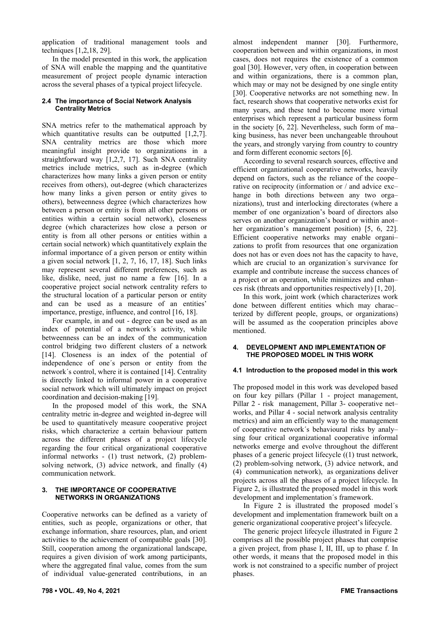application of traditional management tools and techniques [1,2,18, 29].

In the model presented in this work, the application of SNA will enable the mapping and the quantitative measurement of project people dynamic interaction across the several phases of a typical project lifecycle.

## **2.4 The importance of Social Network Analysis Centrality Metrics**

SNA metrics refer to the mathematical approach by which quantitative results can be outputted [1,2,7]. SNA centrality metrics are those which more meaningful insight provide to organizations in a straightforward way [1,2,7, 17]. Such SNA centrality metrics include metrics, such as in-degree (which characterizes how many links a given person or entity receives from others), out-degree (which characterizes how many links a given person or entity gives to others), betweenness degree (which characterizes how between a person or entity is from all other persons or entities within a certain social network), closeness degree (which characterizes how close a person or entity is from all other persons or entities within a certain social network) which quantitatively explain the informal importance of a given person or entity within a given social network [1, 2, 7, 16, 17, 18]. Such links may represent several different preferences, such as like, dislike, need, just no name a few [16]. In a cooperative project social network centrality refers to the structural location of a particular person or entity and can be used as a measure of an entities' importance, prestige, influence, and control [16, 18].

For example, in and out - degree can be used as an index of potential of a network´s activity, while betweenness can be an index of the communication control bridging two different clusters of a network [14]. Closeness is an index of the potential of independence of one´s person or entity from the network´s control, where it is contained [14]. Centrality is directly linked to informal power in a cooperative social network which will ultimately impact on project coordination and decision-making [19].

In the proposed model of this work, the SNA centrality metric in-degree and weighted in-degree will be used to quantitatively measure cooperative project risks, which characterize a certain behaviour pattern across the different phases of a project lifecycle regarding the four critical organizational cooperative informal networks - (1) trust network, (2) problemsolving network, (3) advice network, and finally (4) communication network.

# **3. THE IMPORTANCE OF COOPERATIVE NETWORKS IN ORGANIZATIONS**

Cooperative networks can be defined as a variety of entities, such as people, organizations or other, that exchange information, share resources, plan, and orient activities to the achievement of compatible goals [30]. Still, cooperation among the organizational landscape, requires a given division of work among participants, where the aggregated final value, comes from the sum of individual value-generated contributions, in an

almost independent manner [30]. Furthermore, cooperation between and within organizations, in most cases, does not requires the existence of a common goal [30]. However, very often, in cooperation between and within organizations, there is a common plan, which may or may not be designed by one single entity [30]. Cooperative networks are not something new. In fact, research shows that cooperative networks exist for many years, and these tend to become more virtual enterprises which represent a particular business form in the society [6, 22]. Nevertheless, such form of ma– king business, has never been unchangeable throuhout the years, and strongly varying from country to country and form different economic sectors [6].

According to several research sources, effective and efficient organizational cooperative networks, heavily depend on factors, such as the reliance of the coope– rative on reciprocity (information or / and advice exc– hange in both directions between any two organizations), trust and interlocking directorates (where a member of one organization's board of directors also serves on another organization's board or within anot– her organization's management position) [5, 6, 22]. Efficient cooperative networks may enable organi– zations to profit from resources that one organization does not has or even does not has the capacity to have, which are crucial to an organization´s survivance for example and contribute increase the success chances of a project or an operation, while minimizes and enhan– ces risk (threats and opportunities respectively) [1, 20].

In this work, joint work (which characterizes work done between different entities which may charac– terized by different people, groups, or organizations) will be assumed as the cooperation principles above mentioned.

## **4. DEVELOPMENT AND IMPLEMENTATION OF THE PROPOSED MODEL IN THIS WORK**

# **4.1 Introduction to the proposed model in this work**

The proposed model in this work was developed based on four key pillars (Pillar 1 - project management, Pillar 2 - risk management, Pillar 3- cooperative net– works, and Pillar 4 - social network analysis centrality metrics) and aim an efficiently way to the management of cooperative network´s behavioural risks by analy– sing four critical organizational cooperative informal networks emerge and evolve throughout the different phases of a generic project lifecycle ((1) trust network, (2) problem-solving network, (3) advice network, and (4) communication network), as organizations deliver projects across all the phases of a project lifecycle. In Figure 2, is illustrated the proposed model in this work development and implementation´s framework.

In Figure 2 is illustrated the proposed model´s development and implementation framework built on a generic organizational cooperative project's lifecycle.

The generic project lifecycle illustrated in Figure 2 comprises all the possible project phases that comprise a given project, from phase I, II, III, up to phase f. In other words, it means that the proposed model in this work is not constrained to a specific number of project phases.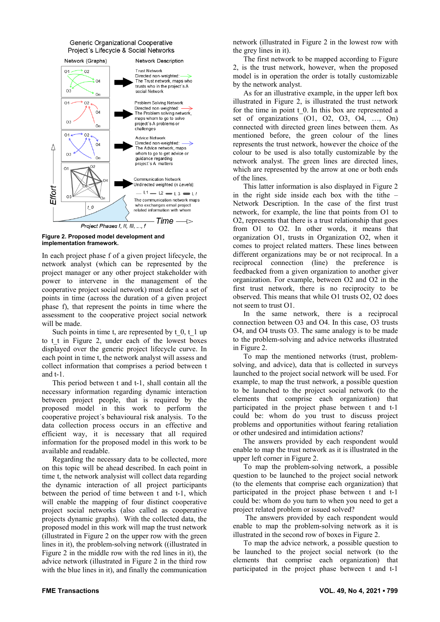#### Generic Organizational Cooperative Project's Lifecycle & Social Networks



**Figure 2. Proposed model development and implementation framework.** 

In each project phase f of a given project lifecycle, the network analyst (which can be represented by the project manager or any other project stakeholder with power to intervene in the management of the cooperative project social network) must define a set of points in time (across the duration of a given project phase f), that represent the points in time where the assessment to the cooperative project social network will be made.

Such points in time t, are represented by  $t\,0, t\,1$  up to t\_t in Figure 2, under each of the lowest boxes displayed over the generic project lifecycle curve. In each point in time t, the network analyst will assess and collect information that comprises a period between t and t-1.

This period between t and t-1, shall contain all the necessary information regarding dynamic interaction between project people, that is required by the proposed model in this work to perform the cooperative project´s behavioural risk analysis. To the data collection process occurs in an effective and efficient way, it is necessary that all required information for the proposed model in this work to be available and readable.

Regarding the necessary data to be collected, more on this topic will be ahead described. In each point in time t, the network analysist will collect data regarding the dynamic interaction of all project participants between the period of time between t and t-1, which will enable the mapping of four distinct cooperative project social networks (also called as cooperative projects dynamic graphs). With the collected data, the proposed model in this work will map the trust network (illustrated in Figure 2 on the upper row with the green lines in it), the problem-solving network ((illustrated in Figure 2 in the middle row with the red lines in it), the advice network (illustrated in Figure 2 in the third row with the blue lines in it), and finally the communication

network (illustrated in Figure 2 in the lowest row with the grey lines in it).

The first network to be mapped according to Figure 2, is the trust network, however, when the proposed model is in operation the order is totally customizable by the network analyst.

As for an illustrative example, in the upper left box illustrated in Figure 2, is illustrated the trust network for the time in point t\_0. In this box are represented a set of organizations (O1, O2, O3, O4, …, On) connected with directed green lines between them. As mentioned before, the green colour of the lines represents the trust network, however the choice of the colour to be used is also totally customizable by the network analyst. The green lines are directed lines, which are represented by the arrow at one or both ends of the lines.

This latter information is also displayed in Figure 2 in the right side inside each box with the tithe – Network Description. In the case of the first trust network, for example, the line that points from O1 to O2, represents that there is a trust relationship that goes from O1 to O2. In other words, it means that organization O1, trusts in Organization O2, when it comes to project related matters. These lines between different organizations may be or not reciprocal. In a reciprocal connection (line) the preference is feedbacked from a given organization to another giver organization. For example, between O2 and O2 in the first trust network, there is no reciprocity to be observed. This means that while O1 trusts O2, O2 does not seem to trust O1.

In the same network, there is a reciprocal connection between O3 and O4. In this case, O3 trusts O4, and O4 trusts O3. The same analogy is to be made to the problem-solving and advice networks illustrated in Figure 2.

To map the mentioned networks (trust, problemsolving, and advice), data that is collected in surveys launched to the project social network will be used. For example, to map the trust network, a possible question to be launched to the project social network (to the elements that comprise each organization) that participated in the project phase between t and t-1 could be: whom do you trust to discuss project problems and opportunities without fearing retaliation or other undesired and intimidation actions?

The answers provided by each respondent would enable to map the trust network as it is illustrated in the upper left corner in Figure 2.

To map the problem-solving network, a possible question to be launched to the project social network (to the elements that comprise each organization) that participated in the project phase between t and t-1 could be: whom do you turn to when you need to get a project related problem or issued solved?

 The answers provided by each respondent would enable to map the problem-solving network as it is illustrated in the second row of boxes in Figure 2.

To map the advice network, a possible question to be launched to the project social network (to the elements that comprise each organization) that participated in the project phase between t and t-1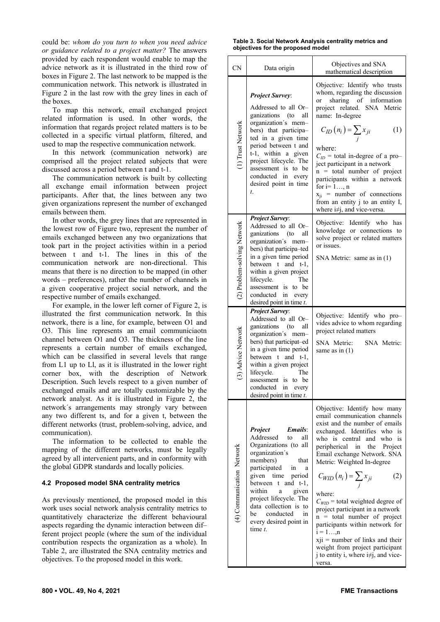could be: *whom do you turn to when you need advice or guidance related to a project matter?* The answers provided by each respondent would enable to map the advice network as it is illustrated in the third row of boxes in Figure 2. The last network to be mapped is the communication network. This network is illustrated in Figure 2 in the last row with the grey lines in each of the boxes.

To map this network, email exchanged project related information is used. In other words, the information that regards project related matters is to be collected in a specific virtual platform, filtered, and used to map the respective communication network.

In this network (communication network) are comprised all the project related subjects that were discussed across a period between t and t-1.

The communication network is built by collecting all exchange email information between project participants. After that, the lines between any two given organizations represent the number of exchanged emails between them.

In other words, the grey lines that are represented in the lowest row of Figure two, represent the number of emails exchanged between any two organizations that took part in the project activities within in a period between t and t-1. The lines in this of the communication network are non-directional. This means that there is no direction to be mapped (in other words – preferences), rather the number of channels in a given cooperative project social network, and the respective number of emails exchanged.

For example, in the lower left corner of Figure 2, is illustrated the first communication network. In this network, there is a line, for example, between O1 and O3. This line represents an email communiciaotn channel between O1 and O3. The thickness of the line represents a certain number of emails exchanged, which can be classified in several levels that range from L1 up to Ll, as it is illustrated in the lower right corner box, with the description of Network Description. Such levels respect to a given number of exchanged emails and are totally customizable by the network analyst. As it is illustrated in Figure 2, the network´s arrangements may strongly vary between any two different ts, and for a given t, between the different networks (trust, problem-solving, advice, and communication).

The information to be collected to enable the mapping of the different networks, must be legally agreed by all intervenient parts, and in conformity with the global GDPR standards and locally policies.

## **4.2 Proposed model SNA centrality metrics**

As previously mentioned, the proposed model in this work uses social network analysis centrality metrics to quantitatively characterize the different behavioural aspects regarding the dynamic interaction between dif– ferent project people (where the sum of the individual contribution respects the organization as a whole). In Table 2, are illustrated the SNA centrality metrics and objectives. To the proposed model in this work.

**Table 3. Social Network Analysis centrality metrics and objectives for the proposed model** 

| <b>CN</b>                   | Data origin                                                                                                                                                                                                                                                                                                                                         | Objectives and SNA<br>mathematical description                                                                                                                                                                                                                                                                                                                                                                                                                                                                                                                                                                    |
|-----------------------------|-----------------------------------------------------------------------------------------------------------------------------------------------------------------------------------------------------------------------------------------------------------------------------------------------------------------------------------------------------|-------------------------------------------------------------------------------------------------------------------------------------------------------------------------------------------------------------------------------------------------------------------------------------------------------------------------------------------------------------------------------------------------------------------------------------------------------------------------------------------------------------------------------------------------------------------------------------------------------------------|
| (1) Trust Network           | <b>Project Survey:</b><br>Addressed to all Or-<br>ganizations (to<br>all<br>organization's mem-<br>bers) that participa-<br>ted in a given time<br>period between t and<br>t-1, within a given<br>project lifecycle. The<br>assessment is to be<br>conducted in every<br>desired point in time<br>t.                                                | Objective: Identify who trusts<br>whom, regarding the discussion<br>sharing of information<br>or<br>SNA Metric<br>project related.<br>name: In-degree<br>$C_{ID}(n_i) = \sum_i x_{ji}$<br>(1)<br>where:<br>$C_{ID}$ = total in-degree of a pro-<br>ject participant in a network<br>$n = total number of project$<br>participants within a network<br>for $i=1$ , n<br>$x_{ii}$ = number of connections<br>from an entity j to an entity I,<br>where i#j, and vice-versa.                                                                                                                                         |
| (2) Problem-solving Network | <b>Project Survey:</b><br>Addressed to all Or-<br>ganizations (to<br>all<br>organization's mem-<br>bers) that participa-ted<br>in a given time period<br>between t and t-1,<br>within a given project<br>lifecycle.<br>The<br>assessment is to be<br>conducted in every<br>desired point in time $t$ .                                              | Objective: Identify who<br>has<br>knowledge or connections to<br>solve project or related matters<br>or issues.<br>SNA Metric: same as in (1)                                                                                                                                                                                                                                                                                                                                                                                                                                                                     |
| (3) Advice Network          | <b>Project Survey:</b><br>Addressed to all Or-<br>ganizations<br>$($ to<br>all<br>organization's<br>mem-<br>bers) that participat-ed<br>in a given time period<br>between $t$ and $t-1$ ,<br>within a given project<br>The<br>lifecycle.<br>assessment is to be<br>conducted in every<br>desired point in time $t$ .                                | Objective: Identify who pro-<br>vides advice to whom regarding<br>project related matters<br>SNA Metric:<br>SNA Metric:<br>same as in $(1)$                                                                                                                                                                                                                                                                                                                                                                                                                                                                       |
| (4) Communication Network   | Project<br><i><b>Emails:</b></i><br>Addressed<br>all<br>to<br>Organizations (to all<br>organization's<br>members)<br>that<br>participated<br>1n<br>a<br>given time<br>period<br>between<br>$t$ and $t-1$ ,<br>within<br>given<br>a<br>project lifecycle. The<br>data collection is to<br>conducted<br>be<br>in<br>every desired point in<br>time t. | Objective: Identify how many<br>email communication channels<br>exist and the number of emails<br>exchanged. Identifies who<br>is<br>who is central and who<br>is<br>peripherical<br>the<br>Project<br>in<br>Email exchange Network. SNA<br>Metric: Weighted In-degree<br>$C_{WID}(n_i) = \sum_i x_{ji}$<br>(2)<br>where:<br>$C_{WID}$ = total weighted degree of<br>project participant in a network<br>$n = total number of project$<br>participants within network for<br>$i = 1$ , n<br>$xji$ = number of links and their<br>weight from project participant<br>j to entity i, where i#j, and vice-<br>versa. |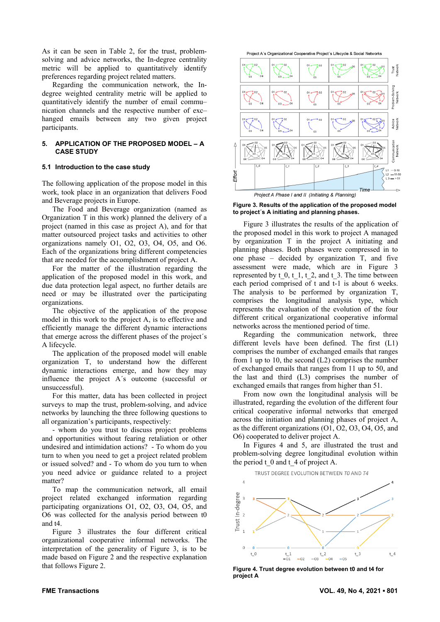As it can be seen in Table 2, for the trust, problemsolving and advice networks, the In-degree centrality metric will be applied to quantitatively identify preferences regarding project related matters.

Regarding the communication network, the Indegree weighted centrality metric will be applied to quantitatively identify the number of email commu– nication channels and the respective number of exc– hanged emails between any two given project participants.

## **5. APPLICATION OF THE PROPOSED MODEL – A CASE STUDY**

#### **5.1 Introduction to the case study**

The following application of the propose model in this work, took place in an organization that delivers Food and Beverage projects in Europe.

The Food and Beverage organization (named as Organization T in this work) planned the delivery of a project (named in this case as project A), and for that matter outsourced project tasks and activities to other organizations namely O1, O2, O3, O4, O5, and O6. Each of the organizations bring different competencies that are needed for the accomplishment of project A.

For the matter of the illustration regarding the application of the proposed model in this work, and due data protection legal aspect, no further details are need or may be illustrated over the participating organizations.

The objective of the application of the propose model in this work to the project A, is to effective and efficiently manage the different dynamic interactions that emerge across the different phases of the project´s A lifecycle.

The application of the proposed model will enable organization T, to understand how the different dynamic interactions emerge, and how they may influence the project A´s outcome (successful or unsuccessful).

For this matter, data has been collected in project surveys to map the trust, problem-solving, and advice networks by launching the three following questions to all organization's participants, respectively:

- whom do you trust to discuss project problems and opportunities without fearing retaliation or other undesired and intimidation actions? - To whom do you turn to when you need to get a project related problem or issued solved? and - To whom do you turn to when you need advice or guidance related to a project matter?

To map the communication network, all email project related exchanged information regarding participating organizations O1, O2, O3, O4, O5, and O6 was collected for the analysis period between t0 and t4.

Figure 3 illustrates the four different critical organizational cooperative informal networks. The interpretation of the generality of Figure 3, is to be made based on Figure 2 and the respective explanation that follows Figure 2.





**Figure 3. Results of the application of the proposed model to project´s A initiating and planning phases.** 

Figure 3 illustrates the results of the application of the proposed model in this work to project A managed by organization T in the project A initiating and planning phases. Both phases were compressed in to one phase – decided by organization T, and five assessment were made, which are in Figure 3 represented by  $t\,0, t\,1, t\,2,$  and  $t\,3$ . The time between each period comprised of t and t-1 is about 6 weeks. The analysis to be performed by organization T, comprises the longitudinal analysis type, which represents the evaluation of the evolution of the four different critical organizational cooperative informal networks across the mentioned period of time.

Regarding the communication network, three different levels have been defined. The first (L1) comprises the number of exchanged emails that ranges from 1 up to 10, the second (L2) comprises the number of exchanged emails that ranges from 11 up to 50, and the last and third (L3) comprises the number of exchanged emails that ranges from higher than 51.

From now own the longitudinal analysis will be illustrated, regarding the evolution of the different four critical cooperative informal networks that emerged across the initiation and planning phases of project A, as the different organizations (O1, O2, O3, O4, O5, and O6) cooperated to deliver project A.

In Figures 4 and 5, are illustrated the trust and problem-solving degree longitudinal evolution within the period  $t_0$  and  $t_4$  of project A.





**Figure 4. Trust degree evolution between t0 and t4 for project A**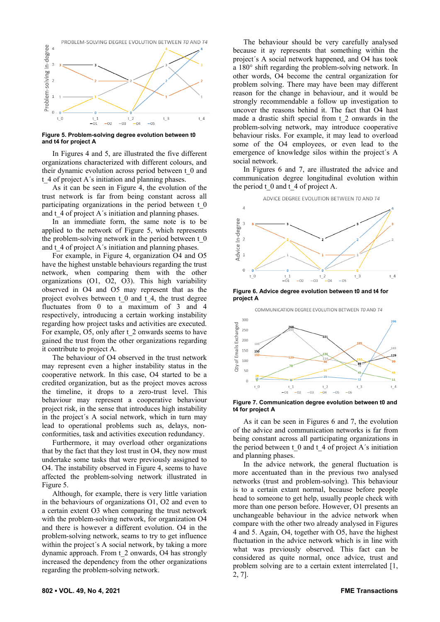

**Figure 5. Problem-solving degree evolution between t0 and t4 for project A** 

In Figures 4 and 5, are illustrated the five different organizations characterized with different colours, and their dynamic evolution across period between t\_0 and t 4 of project A's initiation and planning phases.

As it can be seen in Figure 4, the evolution of the trust network is far from being constant across all participating organizations in the period between t\_0 and t\_4 of project A´s initiation and planning phases.

In an immediate form, the same note is to be applied to the network of Figure 5, which represents the problem-solving network in the period between t\_0 and t<sub>4</sub> of project A<sup>'</sup>s initiation and planning phases.

For example, in Figure 4, organization O4 and O5 have the highest unstable behaviours regarding the trust network, when comparing them with the other organizations (O1, O2, O3). This high variability observed in O4 and O5 may represent that as the project evolves between t\_0 and t\_4, the trust degree fluctuates from 0 to a maximum of 3 and 4 respectively, introducing a certain working instability regarding how project tasks and activities are executed. For example, O5, only after t\_2 onwards seems to have gained the trust from the other organizations regarding it contribute to project A.

The behaviour of O4 observed in the trust network may represent even a higher instability status in the cooperative network. In this case, O4 started to be a credited organization, but as the project moves across the timeline, it drops to a zero-trust level. This behaviour may represent a cooperative behaviour project risk, in the sense that introduces high instability in the project´s A social network, which in turn may lead to operational problems such as, delays, nonconformities, task and activities execution redundancy.

Furthermore, it may overload other organizations that by the fact that they lost trust in O4, they now must undertake some tasks that were previously assigned to O4. The instability observed in Figure 4, seems to have affected the problem-solving network illustrated in Figure 5.

Although, for example, there is very little variation in the behaviours of organizations O1, O2 and even to a certain extent O3 when comparing the trust network with the problem-solving network, for organization O4 and there is however a different evolution. O4 in the problem-solving network, seams to try to get influence within the project's A social network, by taking a more dynamic approach. From t\_2 onwards, O4 has strongly increased the dependency from the other organizations regarding the problem-solving network.

The behaviour should be very carefully analysed because it ay represents that something within the project´s A social network happened, and O4 has took a 180° shift regarding the problem-solving network. In other words, O4 become the central organization for problem solving. There may have been may different reason for the change in behaviour, and it would be strongly recommendable a follow up investigation to uncover the reasons behind it. The fact that O4 hast made a drastic shift special from t\_2 onwards in the problem-solving network, may introduce cooperative behaviour risks. For example, it may lead to overload some of the O4 employees, or even lead to the emergence of knowledge silos within the project´s A social network.

In Figures 6 and 7, are illustrated the advice and communication degree longitudinal evolution within the period  $t \cdot 0$  and  $t \cdot 4$  of project A.



**Figure 6. Advice degree evolution between t0 and t4 for project A** 

 $-\Omega$ 

 $-0<sub>3</sub>$  $-04$ 

 $\frac{t}{-01}$ 

 $t\,0$ 

COMMUNICATION DEGREE EVOLUTION BETWEEN TO AND T4

 $t$  4

 $t \in$ 

 $-0<sup>5</sup>$ 



**Figure 7. Communication degree evolution between t0 and t4 for project A** 

As it can be seen in Figures 6 and 7, the evolution of the advice and communication networks is far from being constant across all participating organizations in the period between  $t \theta$  and  $t \theta$  of project A's initiation and planning phases.

In the advice network, the general fluctuation is more accentuated than in the previous two analysed networks (trust and problem-solving). This behaviour is to a certain extant normal, because before people head to someone to get help, usually people check with more than one person before. However, O1 presents an unchangeable behaviour in the advice network when compare with the other two already analysed in Figures 4 and 5. Again, O4, together with O5, have the highest fluctuation in the advice network which is in line with what was previously observed. This fact can be considered as quite normal, once advice, trust and problem solving are to a certain extent interrelated [1, 2, 7].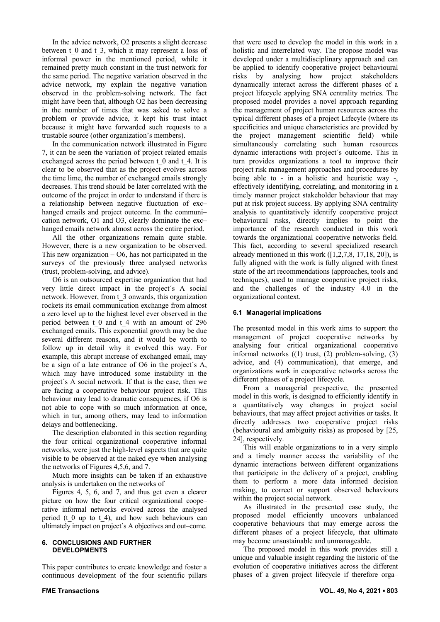In the advice network, O2 presents a slight decrease between t\_0 and t\_3, which it may represent a loss of informal power in the mentioned period, while it remained pretty much constant in the trust network for the same period. The negative variation observed in the advice network, my explain the negative variation observed in the problem-solving network. The fact might have been that, although O2 has been decreasing in the number of times that was asked to solve a problem or provide advice, it kept his trust intact because it might have forwarded such requests to a trustable source (other organization's members).

In the communication network illustrated in Figure 7, it can be seen the variation of project related emails exchanged across the period between t\_0 and t\_4. It is clear to be observed that as the project evolves across the time lime, the number of exchanged emails strongly decreases. This trend should be later correlated with the outcome of the project in order to understand if there is a relationship between negative fluctuation of exc– hanged emails and project outcome. In the communi– cation network, O1 and O3, clearly dominate the exc– hanged emails network almost across the entire period.

All the other organizations remain quite stable. However, there is a new organization to be observed. This new organization  $-$  O6, has not participated in the surveys of the previously three analysed networks (trust, problem-solving, and advice).

O6 is an outsourced expertise organization that had very little direct impact in the project´s A social network. However, from t\_3 onwards, this organization rockets its email communication exchange from almost a zero level up to the highest level ever observed in the period between t\_0 and t\_4 with an amount of 296 exchanged emails. This exponential growth may be due several different reasons, and it would be worth to follow up in detail why it evolved this way. For example, this abrupt increase of exchanged email, may be a sign of a late entrance of O6 in the project´s A, which may have introduced some instability in the project´s A social network. If that is the case, then we are facing a cooperative behaviour project risk. This behaviour may lead to dramatic consequences, if O6 is not able to cope with so much information at once, which in tur, among others, may lead to information delays and bottlenecking.

The description elaborated in this section regarding the four critical organizational cooperative informal networks, were just the high-level aspects that are quite visible to be observed at the naked eye when analysing the networks of Figures 4,5,6, and 7.

Much more insights can be taken if an exhaustive analysis is undertaken on the networks of

Figures 4, 5, 6, and 7, and thus get even a clearer picture on how the four critical organizational coope– rative informal networks evolved across the analysed period (t 0 up to t 4), and how such behaviours can ultimately impact on project´s A objectives and out–come.

## **6. CONCLUSIONS AND FURTHER DEVELOPMENTS**

This paper contributes to create knowledge and foster a continuous development of the four scientific pillars

that were used to develop the model in this work in a holistic and interrelated way. The propose model was developed under a multidisciplinary approach and can be applied to identify cooperative project behavioural risks by analysing how project stakeholders dynamically interact across the different phases of a project lifecycle applying SNA centrality metrics. The proposed model provides a novel approach regarding the management of project human resources across the typical different phases of a project Lifecyle (where its specificities and unique characteristics are provided by the project management scientific field) while simultaneously correlating such human resources dynamic interactions with project´s outcome. This in turn provides organizations a tool to improve their project risk management approaches and procedures by being able to - in a holistic and heuristic way -, effectively identifying, correlating, and monitoring in a timely manner project stakeholder behaviour that may put at risk project success. By applying SNA centrality analysis to quantitatively identify cooperative project behavioural risks, directly implies to point the importance of the research conducted in this work towards the organizational cooperative networks field. This fact, according to several specialized research already mentioned in this work  $([1,2,7,8, 17,18, 20])$ , is fully aligned with the work is fully aligned with finest state of the art recommendations (approaches, tools and techniques), used to manage cooperative project risks, and the challenges of the industry 4.0 in the organizational context.

# **6.1 Managerial implications**

The presented model in this work aims to support the management of project cooperative networks by analysing four critical organizational cooperative informal networks  $((1)$  trust,  $(2)$  problem-solving,  $(3)$ advice, and (4) communication), that emerge, and organizations work in cooperative networks across the different phases of a project lifecycle.

From a managerial prespective, the presented model in this work, is designed to efficiently identify in a quantitatively way changes in project social behaviours, that may affect project activities or tasks. It directly addresses two cooperative project risks (behavioural and ambiguity risks) as proposed by [25, 24], respectively.

This will enable organizations to in a very simple and a timely manner access the variability of the dynamic interactions between different organizations that participate in the delivery of a project, enabling them to perform a more data informed decision making, to correct or support observed behaviours within the project social network.

As illustrated in the presented case study, the proposed model efficiently uncovers unbalanced cooperative behaviours that may emerge across the different phases of a project lifecycle, that ultimate may become unsustainable and unmanageable.

The proposed model in this work provides still a unique and valuable insight regarding the historic of the evolution of cooperative initiatives across the different phases of a given project lifecycle if therefore orga–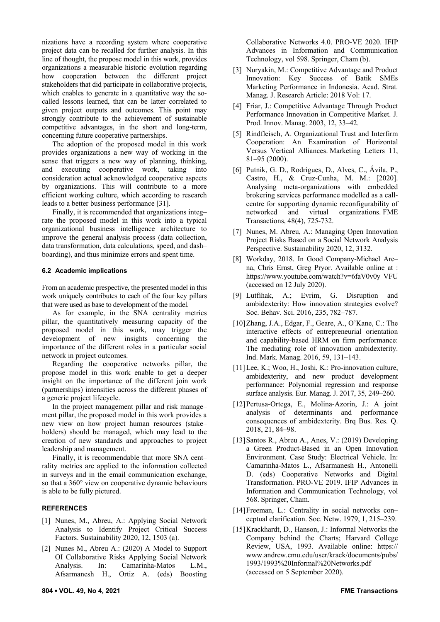nizations have a recording system where cooperative project data can be recalled for further analysis. In this line of thought, the propose model in this work, provides organizations a measurable historic evolution regarding how cooperation between the different project stakeholders that did participate in collaborative projects, which enables to generate in a quantitative way the socalled lessons learned, that can be latter correlated to given project outputs and outcomes. This point may strongly contribute to the achievement of sustainable competitive advantages, in the short and long-term, concerning future cooperative partnerships.

The adoption of the proposed model in this work provides organizations a new way of working in the sense that triggers a new way of planning, thinking, and executing cooperative work, taking into consideration actual acknowledged cooperative aspects by organizations. This will contribute to a more efficient working culture, which according to research leads to a better business performance [31].

Finally, it is recommended that organizations integ– rate the proposed model in this work into a typical organizational business intelligence architecture to improve the general analysis process (data collection, data transformation, data calculations, speed, and dash– boarding), and thus minimize errors and spent time.

## **6.2 Academic implications**

From an academic prespective, the presented model in this work uniquely contributes to each of the four key pillars that were used as base to development of the model.

As for example, in the SNA centrality metrics pillar, the quantitatively measuring capacity of the proposed model in this work, may trigger the development of new insights concerning the importance of the different roles in a particular social network in project outcomes.

Regarding the cooperative networks pillar, the propose model in this work enable to get a deeper insight on the importance of the different join work (partnerships) intensities across the different phases of a generic project lifecycle.

In the project management pillar and risk manage– ment pillar, the proposed model in this work provides a new view on how project human resources (stake– holders) should be managed, which may lead to the creation of new standards and approaches to project leadership and management.

Finally, it is recommendable that more SNA cent– rality metrics are applied to the information collected in surveys and in the email communication exchange, so that a 360° view on cooperative dynamic behaviours is able to be fully pictured.

# **REFERENCES**

- [1] Nunes, M., Abreu, A.: Applying Social Network Analysis to Identify Project Critical Success Factors. Sustainability 2020, 12, 1503 (a).
- [2] Nunes M., Abreu A.: (2020) A Model to Support OI Collaborative Risks Applying Social Network Analysis. In: Camarinha-Matos L.M., Afsarmanesh H., Ortiz A. (eds) Boosting

Collaborative Networks 4.0. PRO-VE 2020. IFIP Advances in Information and Communication Technology, vol 598. Springer, Cham (b).

- [3] Nuryakin, M.: Competitive Advantage and Product Innovation: Key Success of Batik SMEs Marketing Performance in Indonesia. Acad. Strat. Manag. J. Research Article: 2018 Vol: 17.
- [4] Friar, J.: Competitive Advantage Through Product Performance Innovation in Competitive Market. J. Prod. Innov. Manag. 2003, 12, 33–42.
- [5] Rindfleisch, A. Organizational Trust and Interfirm Cooperation: An Examination of Horizontal Versus Vertical Alliances. Marketing Letters 11, 81–95 (2000).
- [6] Putnik, G. D., Rodrigues, D., Alves, C., Ávila, P., Castro, H., & Cruz-Cunha, M. M.: [2020]. Analysing meta-organizations with embedded brokering services performance modelled as a callcentre for supporting dynamic reconfigurability of networked and virtual organizations. FME Transactions, 48(4), 725-732.
- [7] Nunes, M. Abreu, A.: Managing Open Innovation Project Risks Based on a Social Network Analysis Perspective. Sustainability 2020, 12, 3132.
- [8] Workday, 2018. In Good Company-Michael Are– na, Chris Ernst, Greg Pryor. Available online at : https://www.youtube.com/watch?v=6faV0v0y VFU (accessed on 12 July 2020).
- [9] Lutfihak, A.; Evrim, G. Disruption and ambidexterity: How innovation strategies evolve? Soc. Behav. Sci. 2016, 235, 782–787.
- [10]Zhang, J.A., Edgar, F., Geare, A., O'Kane, C.: The interactive effects of entrepreneurial orientation and capability-based HRM on firm performance: The mediating role of innovation ambidexterity. Ind. Mark. Manag. 2016, 59, 131–143.
- [11] Lee, K.; Woo, H., Joshi, K.: Pro-innovation culture, ambidexterity, and new product development performance: Polynomial regression and response surface analysis. Eur. Manag. J. 2017, 35, 249–260.
- [12]Pertusa-Ortega, E., Molina-Azorin, J.: A joint analysis of determinants and performance consequences of ambidexterity. Brq Bus. Res. Q. 2018, 21, 84–98.
- [13]Santos R., Abreu A., Anes, V.: (2019) Developing a Green Product-Based in an Open Innovation Environment. Case Study: Electrical Vehicle. In: Camarinha-Matos L., Afsarmanesh H., Antonelli D. (eds) Cooperative Networks and Digital Transformation. PRO-VE 2019. IFIP Advances in Information and Communication Technology, vol 568. Springer, Cham.
- [14]Freeman, L.: Centrality in social networks con– ceptual clarification. Soc. Netw. 1979, 1, 215–239.
- [15] Krackhardt, D., Hanson, J.: Informal Networks the Company behind the Charts; Harvard College Review, USA, 1993. Available online: https:// www.andrew.cmu.edu/user/krack/documents/pubs/ 1993/1993%20Informal%20Networks.pdf (accessed on 5 September 2020).